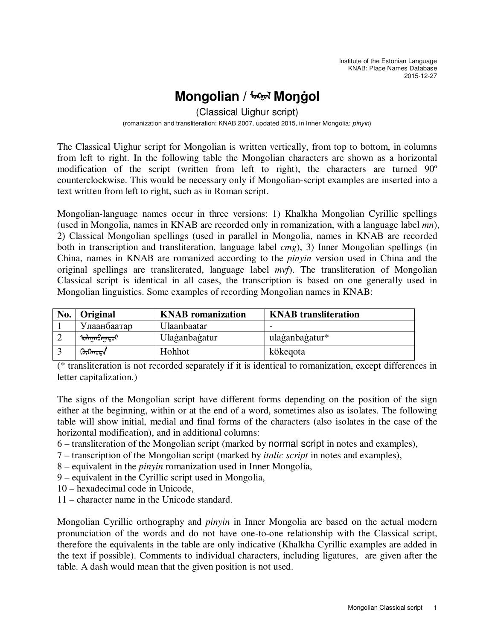# **Mongolian / क्लिल Mongol**

(Classical Uighur script)

(romanization and transliteration: KNAB 2007, updated 2015, in Inner Mongolia: pinyin)

The Classical Uighur script for Mongolian is written vertically, from top to bottom, in columns from left to right. In the following table the Mongolian characters are shown as a horizontal modification of the script (written from left to right), the characters are turned 90º counterclockwise. This would be necessary only if Mongolian-script examples are inserted into a text written from left to right, such as in Roman script.

Mongolian-language names occur in three versions: 1) Khalkha Mongolian Cyrillic spellings (used in Mongolia, names in KNAB are recorded only in romanization, with a language label *mn*), 2) Classical Mongolian spellings (used in parallel in Mongolia, names in KNAB are recorded both in transcription and transliteration, language label *cmg*), 3) Inner Mongolian spellings (in China, names in KNAB are romanized according to the *pinyin* version used in China and the original spellings are transliterated, language label *mvf*). The transliteration of Mongolian Classical script is identical in all cases, the transcription is based on one generally used in Mongolian linguistics. Some examples of recording Mongolian names in KNAB:

| No. | Original            | <b>KNAB</b> romanization | <b>KNAB</b> transliteration |  |  |
|-----|---------------------|--------------------------|-----------------------------|--|--|
|     | Улаанбаатар         | Ulaanbaatar              |                             |  |  |
|     | <b>ᡉᠯᠠᡍᠬᢒ᠇ᡍᠡᠲᠣᠷ</b> | Ulaganbagatur            | ulaganbagatur*              |  |  |
|     | ᢉᠦᢉᡴᢇᡂᠠ             | Hohhot                   | kökegota                    |  |  |

(\* transliteration is not recorded separately if it is identical to romanization, except differences in letter capitalization.)

The signs of the Mongolian script have different forms depending on the position of the sign either at the beginning, within or at the end of a word, sometimes also as isolates. The following table will show initial, medial and final forms of the characters (also isolates in the case of the horizontal modification), and in additional columns:

6 – transliteration of the Mongolian script (marked by normal script in notes and examples),

7 – transcription of the Mongolian script (marked by *italic script* in notes and examples),

8 – equivalent in the *pinyin* romanization used in Inner Mongolia,

9 – equivalent in the Cyrillic script used in Mongolia,

10 – hexadecimal code in Unicode,

11 – character name in the Unicode standard.

Mongolian Cyrillic orthography and *pinyin* in Inner Mongolia are based on the actual modern pronunciation of the words and do not have one-to-one relationship with the Classical script, therefore the equivalents in the table are only indicative (Khalkha Cyrillic examples are added in the text if possible). Comments to individual characters, including ligatures, are given after the table. A dash would mean that the given position is not used.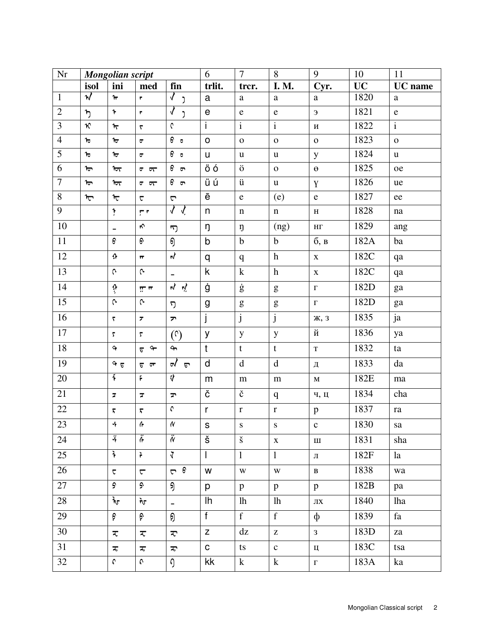| $\rm Nr$       | Mongolian script        |                             |                                  |                                                   | 6                                          | $\overline{7}$                                                                                                                                                                                                                                                                                                                                                                                                                 | 8                                                                                                                                                                                                                                                                                                                                                                                                                              | 9              | 10        | 11             |
|----------------|-------------------------|-----------------------------|----------------------------------|---------------------------------------------------|--------------------------------------------|--------------------------------------------------------------------------------------------------------------------------------------------------------------------------------------------------------------------------------------------------------------------------------------------------------------------------------------------------------------------------------------------------------------------------------|--------------------------------------------------------------------------------------------------------------------------------------------------------------------------------------------------------------------------------------------------------------------------------------------------------------------------------------------------------------------------------------------------------------------------------|----------------|-----------|----------------|
|                | isol                    | ini                         | med                              | fin                                               | trlit.                                     | trer.                                                                                                                                                                                                                                                                                                                                                                                                                          | <b>I. M.</b>                                                                                                                                                                                                                                                                                                                                                                                                                   | Cyr.           | <b>UC</b> | <b>UC</b> name |
| $\mathbf{1}$   | $\boldsymbol{\kappa}$   | $\mathbf{r}$                | $\pmb{r}$                        | $\mathcal{N}$<br>J                                | $\mathsf a$                                | $\mathbf a$                                                                                                                                                                                                                                                                                                                                                                                                                    | $\mathbf a$                                                                                                                                                                                                                                                                                                                                                                                                                    | $\mathbf a$    | 1820      | $\rm{a}$       |
| $\mathbf{2}$   | $\mathbf{b}$            | $\ddot{\mathbf{r}}$         | $\pmb{r}$                        | $\blacklozenge$<br>J                              | $\mathsf{e}% _{t}\left( \mathsf{e}\right)$ | ${\bf e}$                                                                                                                                                                                                                                                                                                                                                                                                                      | $\mathbf{e}$                                                                                                                                                                                                                                                                                                                                                                                                                   | $\epsilon$     | 1821      | ${\bf e}$      |
| $\overline{3}$ | $\boldsymbol{\kappa}$   | ᠍木                          | $\overline{\mathbf{v}}$          | $\mathfrak{c}$                                    | $\overline{1}$                             | $\overline{i}$                                                                                                                                                                                                                                                                                                                                                                                                                 | $\overline{i}$                                                                                                                                                                                                                                                                                                                                                                                                                 | И              | 1822      | $\overline{i}$ |
| $\overline{4}$ | $\pmb{\uppi}$           | ᠋ᡉ                          | $\overline{\mathbf{u}}$          | 6 <sub>o</sub>                                    | $\mathsf O$                                | $\mathbf O$                                                                                                                                                                                                                                                                                                                                                                                                                    | $\mathbf O$                                                                                                                                                                                                                                                                                                                                                                                                                    | $\mathbf 0$    | 1823      | ${\bf O}$      |
| $\overline{5}$ | $\mathbf{t}$            | ᢛ                           | $\overline{\sigma}$              | $\theta$ $\theta$                                 | $\mathsf{u}$                               | $\mathbf u$                                                                                                                                                                                                                                                                                                                                                                                                                    | $\mathbf u$                                                                                                                                                                                                                                                                                                                                                                                                                    | y              | 1824      | u              |
| 6              | $\mathbf{t}$            | रिप $\overline{\mathbf{t}}$ | $\sigma$ $\pi$                   | $\epsilon$<br>$\overline{a}$                      | öó                                         | ö                                                                                                                                                                                                                                                                                                                                                                                                                              | $\mathbf{o}$                                                                                                                                                                                                                                                                                                                                                                                                                   | $\Theta$       | 1825      | oe             |
| $\overline{7}$ | $\overline{\mathbf{t}}$ | $\overline{\mathbf{t}}$     | $\sigma$ $\pi$                   | 6 <sub>m</sub>                                    | üú                                         | ü                                                                                                                                                                                                                                                                                                                                                                                                                              | $\mathbf u$                                                                                                                                                                                                                                                                                                                                                                                                                    | Y              | 1826      | ue             |
| $\overline{8}$ | $\tau$                  | $\tau$                      | $\overline{\mathbf{v}}$          | $\mathbf \nabla$                                  | ē                                          | ${\bf e}$                                                                                                                                                                                                                                                                                                                                                                                                                      | (e)                                                                                                                                                                                                                                                                                                                                                                                                                            | $\mathbf{e}$   | 1827      | ee             |
| 9              |                         | ţ.                          | ٣٣                               | $\Lambda$ $\Lambda$                               | n                                          | $\mathbf n$                                                                                                                                                                                                                                                                                                                                                                                                                    | $\mathbf n$                                                                                                                                                                                                                                                                                                                                                                                                                    | $\, {\rm H}$   | 1828      | na             |
| 10             |                         | -                           | $\sim$                           | 7                                                 | ŋ                                          | ŋ                                                                                                                                                                                                                                                                                                                                                                                                                              | (ng)                                                                                                                                                                                                                                                                                                                                                                                                                           | $\rm{H}\Gamma$ | 1829      | ang            |
| $11\,$         |                         | $\pmb{\Theta}$              | $6^{\circ}$                      | ஏ                                                 | $\mathsf b$                                | $\mathbf b$                                                                                                                                                                                                                                                                                                                                                                                                                    | $\mathbf b$                                                                                                                                                                                                                                                                                                                                                                                                                    | 6, B           | 182A      | ba             |
| 12             |                         | $\boldsymbol{\Omega}$       | $\overline{\mathbf{u}}$          | ц                                                 | q                                          | $\mathbf q$                                                                                                                                                                                                                                                                                                                                                                                                                    | $\mathbf{h}$                                                                                                                                                                                                                                                                                                                                                                                                                   | $\mathbf X$    | 182C      | qa             |
| 13             |                         | $\mathfrak{c}$              | $\sim$                           | $\overline{a}$                                    | $\mathsf k$                                | $\mathbf k$                                                                                                                                                                                                                                                                                                                                                                                                                    | h                                                                                                                                                                                                                                                                                                                                                                                                                              | $\mathbf X$    | 182C      | qa             |
| 14             |                         | $\hat{v}$                   | $\pi$                            | 以以                                                | ġ                                          | ġ                                                                                                                                                                                                                                                                                                                                                                                                                              | g                                                                                                                                                                                                                                                                                                                                                                                                                              | $\Gamma$       | 182D      | ga             |
| 15             |                         | $\mathsf{C}$                | $\mathsf{C}$                     | ת                                                 | g                                          | $\mathbf{g}% _{T}=\mathbf{g}_{T}=\mathbf{g}_{T}=\mathbf{g}_{T}=\mathbf{g}_{T}=\mathbf{g}_{T}=\mathbf{g}_{T}=\mathbf{g}_{T}=\mathbf{g}_{T}=\mathbf{g}_{T}=\mathbf{g}_{T}=\mathbf{g}_{T}=\mathbf{g}_{T}=\mathbf{g}_{T}=\mathbf{g}_{T}=\mathbf{g}_{T}=\mathbf{g}_{T}=\mathbf{g}_{T}=\mathbf{g}_{T}=\mathbf{g}_{T}=\mathbf{g}_{T}=\mathbf{g}_{T}=\mathbf{g}_{T}=\mathbf{g}_{T}=\mathbf{g}_{T}=\mathbf{g}_{T}=\mathbf{g}_{T}=\math$ | $\mathbf{g}% _{T}=\mathbf{g}_{T}=\mathbf{g}_{T}=\mathbf{g}_{T}=\mathbf{g}_{T}=\mathbf{g}_{T}=\mathbf{g}_{T}=\mathbf{g}_{T}=\mathbf{g}_{T}=\mathbf{g}_{T}=\mathbf{g}_{T}=\mathbf{g}_{T}=\mathbf{g}_{T}=\mathbf{g}_{T}=\mathbf{g}_{T}=\mathbf{g}_{T}=\mathbf{g}_{T}=\mathbf{g}_{T}=\mathbf{g}_{T}=\mathbf{g}_{T}=\mathbf{g}_{T}=\mathbf{g}_{T}=\mathbf{g}_{T}=\mathbf{g}_{T}=\mathbf{g}_{T}=\mathbf{g}_{T}=\mathbf{g}_{T}=\math$ | $\Gamma$       | 182D      | ga             |
| 16             |                         | $\overline{\nabla}$         | $\overline{\boldsymbol{r}}$      | $\blacktriangledown$                              | j                                          | $\mathbf{j}$                                                                                                                                                                                                                                                                                                                                                                                                                   | $\mathbf{j}$                                                                                                                                                                                                                                                                                                                                                                                                                   | Ж, 3           | 1835      | ja             |
| 17             |                         | $\overline{\mathbf{r}}$     | $\overline{\mathbf{r}}$          | $\left(\begin{matrix} 0 \\ 0 \end{matrix}\right)$ | У                                          | $\mathbf{y}$                                                                                                                                                                                                                                                                                                                                                                                                                   | $\mathbf y$                                                                                                                                                                                                                                                                                                                                                                                                                    | й              | 1836      | ya             |
| $18\,$         |                         | $\bullet$                   | $\rightarrow$<br>$\epsilon$      | $\mathbf{r}$                                      | $\mathbf t$                                | $\mathbf t$                                                                                                                                                                                                                                                                                                                                                                                                                    | $\mathbf t$                                                                                                                                                                                                                                                                                                                                                                                                                    | $\mathbf T$    | 1832      | ta             |
| 19             |                         | $9\sigma$                   | $5 - 7$                          | ৵<br>$\sigma$                                     | $\mathsf{d}$                               | $\mathbf d$                                                                                                                                                                                                                                                                                                                                                                                                                    | $\mathbf d$                                                                                                                                                                                                                                                                                                                                                                                                                    | Д              | 1833      | da             |
| 20             |                         | $\ddot{\ddot{\imath}}$      | F                                | 4                                                 | ${\sf m}$                                  | ${\bf m}$                                                                                                                                                                                                                                                                                                                                                                                                                      | m                                                                                                                                                                                                                                                                                                                                                                                                                              | $\mathbf M$    | 182E      | ma             |
| 21             |                         | $\overline{\mathbf{z}}$     | $\overline{\mathbf{z}}$          | $\mathbf{r}$                                      | Č                                          | č                                                                                                                                                                                                                                                                                                                                                                                                                              | $\mathbf{q}$                                                                                                                                                                                                                                                                                                                                                                                                                   | Ч, Ц           | 1834      | cha            |
| $22\,$         |                         | $\pmb{\overline{\lambda}}$  | $\pmb{\overline{\mathbf{x}}}$    | $\boldsymbol{\zeta}$                              | $r_{\rm}$                                  | $\mathbf r$                                                                                                                                                                                                                                                                                                                                                                                                                    | $\mathbf r$                                                                                                                                                                                                                                                                                                                                                                                                                    | $\mathbf{p}$   | 1837      | ra             |
| 23             |                         | 4                           | $\pmb{\mathsf{f}}$               | $\pmb{\mathcal{N}}$                               | $\mathsf S$                                | ${\bf S}$                                                                                                                                                                                                                                                                                                                                                                                                                      | ${\bf S}$                                                                                                                                                                                                                                                                                                                                                                                                                      | $\mathbf{c}$   | 1830      | ${\rm sa}$     |
| 24             |                         | ű                           | Ä                                | ű                                                 | $\check{\mathsf{s}}$                       | $\check{\mathbf{s}}$                                                                                                                                                                                                                                                                                                                                                                                                           | $\mathbf X$                                                                                                                                                                                                                                                                                                                                                                                                                    | Ш              | 1831      | sha            |
| 25             |                         | $\frac{1}{\sqrt{2}}$        | $\ddot{\bullet}$                 | $\overline{\mathbf{v}}$                           | $\overline{1}$                             | $\mathbf{1}$                                                                                                                                                                                                                                                                                                                                                                                                                   | $\mathbf{1}$                                                                                                                                                                                                                                                                                                                                                                                                                   | $\rm{J}I$      | 182F      | la             |
| 26             |                         | $\overline{\mathbf{C}}$     | $\overline{\mathbf{C}}$          | $\sigma$ $\theta$                                 | W                                          | $\mathbf W$                                                                                                                                                                                                                                                                                                                                                                                                                    | $\mathbf W$                                                                                                                                                                                                                                                                                                                                                                                                                    | $\, {\bf B}$   | 1838      | wa             |
| 27             |                         | 5                           | ς.                               | த                                                 | p                                          | p                                                                                                                                                                                                                                                                                                                                                                                                                              | $\mathbf{p}$                                                                                                                                                                                                                                                                                                                                                                                                                   | p              | 182B      | pa             |
| 28             |                         | ᡀ                           | দৈ                               | $\overline{\phantom{0}}$                          | Ih                                         | lh                                                                                                                                                                                                                                                                                                                                                                                                                             | lh                                                                                                                                                                                                                                                                                                                                                                                                                             | $J\!I X$       | 1840      | lha            |
| 29             |                         | ଚ                           | ଚ                                | ஏ                                                 | f                                          | f                                                                                                                                                                                                                                                                                                                                                                                                                              | $\mathbf{f}$                                                                                                                                                                                                                                                                                                                                                                                                                   | $\Phi$         | 1839      | fa             |
| 30             |                         | ₹                           | ₹                                | $\overline{C}$                                    | $\mathsf{Z}$                               | dz                                                                                                                                                                                                                                                                                                                                                                                                                             | $\mathbf{Z}% ^{T}=\mathbf{Z}^{T}\times\mathbf{Z}^{T}$                                                                                                                                                                                                                                                                                                                                                                          | 3              | 183D      | za             |
| 31             |                         | Τ.                          | $\overline{\mathcal{A}_{\rm o}}$ | ᠼ                                                 | $\mathbf C$                                | ts                                                                                                                                                                                                                                                                                                                                                                                                                             | $\mathbf{c}$                                                                                                                                                                                                                                                                                                                                                                                                                   | Ц              | 183C      | tsa            |
| 32             |                         | $\mathfrak{c}$              | $\mathfrak{c}$                   | Ŋ                                                 | kk                                         | $\bf k$                                                                                                                                                                                                                                                                                                                                                                                                                        | $\mathbf k$                                                                                                                                                                                                                                                                                                                                                                                                                    | $\Gamma$       | 183A      | ka             |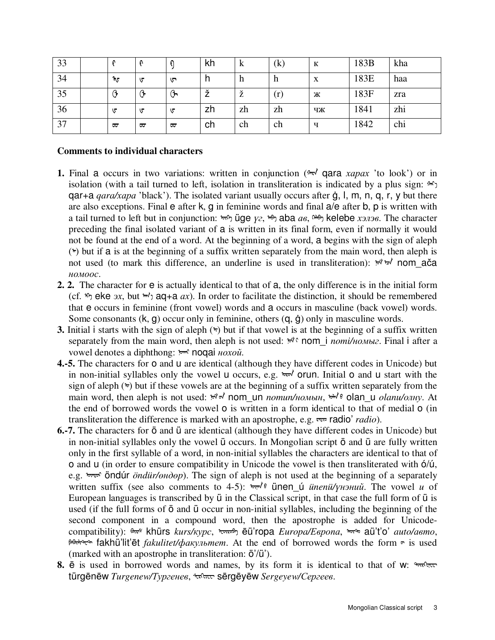| 33 |      |   |   | kh | K  | $\left( \mathrm{k}\right)$ | К  | 183B | kha |
|----|------|---|---|----|----|----------------------------|----|------|-----|
| 34 | ৗ৻ঢ় | ড | ▽ | n  | h  | n                          | X  | 183E | haa |
| 35 |      | G | Ⴇ | v  | ž  | (r)                        | Ж  | 183F | zra |
| 36 | ∪    | ▽ | ∪ | zh | zh | zh                         | ЧЖ | 1841 | zhi |
| 37 | ᡂ    | ᡂ | ᡂ | ch | ch | ch                         | ч  | 1842 | chi |

## **Comments to individual characters**

- **1.** Final a occurs in two variations: written in conjunction ( $\pi$ ) qara *xapax* 'to look') or in isolation (with a tail turned to left, isolation in transliteration is indicated by a plus sign:  $\mathcal{F}_1$ qar+a *qara/хара* 'black'). The isolated variant usually occurs after ġ, l, m, n, q, r, y but there are also exceptions. Final e after k, g in feminine words and final a/e after b, p is written with a tail turned to left but in conjunction: <u>եփ üge *γ*</u>, <del>Μ</del>, aba *aβ*, <del>Μ</del>, kelebe *хэлэβ*. The character preceding the final isolated variant of a is written in its final form, even if normally it would not be found at the end of a word. At the beginning of a word, a begins with the sign of aleph  $(*)$  but if a is at the beginning of a suffix written separately from the main word, then aleph is not used (to mark this difference, an underline is used in transliteration):  $\forall x$  nom ača *номоос*.
- **2. 2.** The character for e is actually identical to that of a, the only difference is in the initial form (cf.  $\eta$  eke *3x*, but  $\pi$ ) aq + a *ax*). In order to facilitate the distinction, it should be remembered that e occurs in feminine (front vowel) words and a occurs in masculine (back vowel) words. Some consonants  $(k, g)$  occur only in feminine, others  $(q, \dot{q})$  only in masculine words.
- **3.** Initial i starts with the sign of aleph  $(\tau)$  but if that vowel is at the beginning of a suffix written separately from the main word, then aleph is not used:  $\forall$ ° nom i *поті/номыг*. Final i after a vowel denotes a diphthong: <u><del>•</del><sup>*m*</sup> noqai *нохой*.</u>
- **4.-5.** The characters for o and u are identical (although they have different codes in Unicode) but in non-initial syllables only the vowel u occurs, e.g.  $\overline{b}$  orun. Initial o and u start with the sign of aleph  $(\rightarrow)$  but if these vowels are at the beginning of a suffix written separately from the main word, then aleph is not used:  $\forall$  <del>√</del> nom un *nomun/номын*,  $\forall$  • olan u *olanu/олну*. At the end of borrowed words the vowel o is written in a form identical to that of medial o (in transliteration the difference is marked with an apostrophe, e.g. ᠷᠠᠳᠢᠣ radio' *radio*).
- **6.-7.** The characters for ö and ü are identical (although they have different codes in Unicode) but in non-initial syllables only the vowel ü occurs. In Mongolian script ö and ü are fully written only in the first syllable of a word, in non-initial syllables the characters are identical to that of o and u (in order to ensure compatibility in Unicode the vowel is then transliterated with ó/ú, e.g. ᠥᠨᠳᠦᠷ öndúr *öndür/өндөр*). The sign of aleph is not used at the beginning of a separately written suffix (see also comments to 4-5): أبيهم <sup>9</sup> ünen ú *ünenü/үнэний*. The vowel *u* of European languages is transcribed by ü in the Classical script, in that case the full form of ü is used (if the full forms of ö and ü occur in non-initial syllables, including the beginning of the second component in a compound word, then the apostrophe is added for Unicodecompatibility): ᠷᠰ khürs *kurs/курс*, ᠧᠦᠷᠣ ēü'ropa *Europa/Европа*, ᠠᠦᠲᠣ aü't'o' *auto/авто*, *NARC* fakhü'lit'ēt *fakulitet/φακγπьmem.* At the end of borrowed words the form  $\sigma$  is used (marked with an apostrophe in transliteration: ö'/ü').
- 8.  $\bar{e}$  is used in borrowed words and names, by its form it is identical to that of w:  $\frac{Q_{\text{max}}}{Q_{\text{max}}}$ türgēnēw *Turgenew/Тургенев*, ᠰᠧᠷᠶᠧᠸ sērgēyēw *Sergeyew/Сергеев*.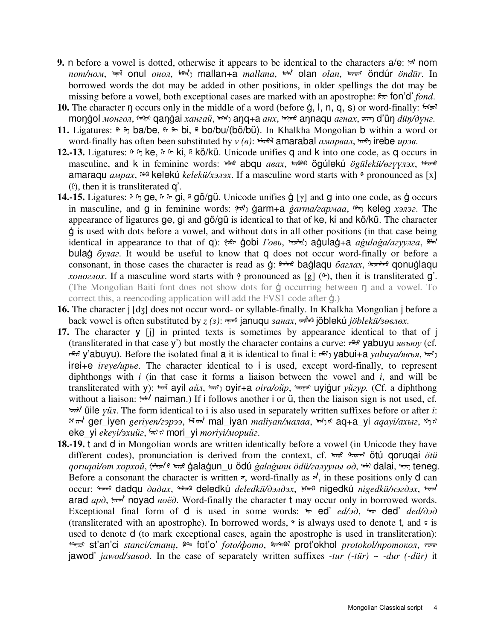- **9.** n before a vowel is dotted, otherwise it appears to be identical to the characters  $a/e$ :  $\pi$ <sup>t</sup> nom *nom/ном*, ᠣᠨᠤᠯ onul *онол*, ᠮᠠᠠᠨ ᠠ mallan+a *mallana*, ᠣᠯᠠᠨ olan *olan*, ᠥᠨᠳᠦᠷ öndúr *öndür*. In borrowed words the dot may be added in other positions, in older spellings the dot may be missing before a vowel, both exceptional cases are marked with an apostrophe: ᠨᠳ fon'd' *fond*.
- **10.** The character η occurs only in the middle of a word (before g, l, n, q, s) or word-finally:  $\frac{f_{\text{max}}}{g}$ monġol *монгол*, <u><u>மெற்</u> qanġai *хангай*, <u>மற்</u> ang+a *анх*, மற்றி annagu *агнах*, ரை d'ün *düŋ/дүнг*.</u>
- 11. Ligatures:  $\theta$   $\theta$   $\phi$   $\alpha$  ba/be,  $\theta$   $\theta$   $\theta$  bi,  $\theta$  bo/bu/(bö/bü). In Khalkha Mongolian b within a word or word-finally has often been substituted by *v* (*β*): <u>hthe</u> amarabal *aмарвал*, more irebe *ирэв*.
- **12.-13.** Ligatures:  $\theta$   $\theta$  ke,  $\theta$   $\theta$  ki,  $\theta$  kö/kü. Unicode unifies q and k into one code, as q occurs in masculine, and k in feminine words:  $\theta$  **abqu** *asax*,  $\theta$  **w** $\theta$  **ögúlekú** *ögülekü/* $\theta$  *<i>eyyn*<sub>3</sub>x,  $\theta$ amaraqu *амрах*, ™ kelekú *kelekü/хэлэх*. If a masculine word starts with <sup>↑</sup> pronounced as [x]  $(\hat{E})$ , then it is transliterated q'.
- **14.-15.** Ligatures:  $\theta$   $\theta$ ,  $\theta$   $\theta$   $\theta$ ,  $\theta$   $\theta$   $\theta$   $\theta$   $\theta$   $\theta$ . Unicode unifies  $\dot{q}$   $\left[\gamma\right]$  and q into one code, as  $\dot{q}$  occurs in masculine, and g in feminine words:  $\mathbb{R}^{n}$  garm+a *ġarma/<i>zapmaa*,  $\mathbb{R}^{n}$  keleg *хэлэг*. The appearance of ligatures ge, gi and gö/gü is identical to that of ke, ki and kö/kü. The character ġ is used with dots before a vowel, and without dots in all other positions (in that case being identical in appearance to that of q): <u> $\theta$ </u> gobi *Говь*,  $\theta$ <sub>*roh*</sub>, agulag+a *agulaga/azyynza*,  $\theta$  $\theta$ bulaġ *булаг*. It would be useful to know that q does not occur word-finally or before a consonant, in those cases the character is read as  $\dot{g}$ : חלות baġlaqu *баглах*, חסומים qonuġlaqu *хоноглох*. If a masculine word starts with pronounced as [g] (<sup> $\circ$ </sup>), then it is transliterated **g**'. (The Mongolian Baiti font does not show dots for  $\dot{q}$  occurring between  $\eta$  and a vowel. To correct this, a reencoding application will add the FVS1 code after ġ.)
- **16.** The character j [dʒ] does not occur word- or syllable-finally. In Khalkha Mongolian j before a back vowel is often substituted by *z* (*з*): <u>م</u>ِسِم januqu *занах*, مِسَمَّة jöblekú *jöblekü/зөвлөх*.
- **17.** The character y [j] in printed texts is sometimes by appearance identical to that of j (transliterated in that case y') but mostly the character contains a curve: <del>50,6</del> vabuyu *явъю* (cf.  $\pi$ <sup>56</sup>; y'abuyu). Before the isolated final a it is identical to final i:  $\pi$ <sup>(\*</sup>) yabui+a *yabuya/явъя*,  $\pi$ <sup>{\*</sup>) irei+e *ireye/ирье*. The character identical to i is used, except word-finally, to represent diphthongs with *i* (in that case it forms a liaison between the vowel and *i*, and will be transliterated with y):  $\pi \bar{x}$  ayil *aŭn*,  $\pi \bar{x}$  oyir+a *oira/oŭp*,  $\pi \bar{x}$  uyiġur *yŭzyp*. (Cf. a diphthong without a liaison:  $\pi/\sqrt{m}$  naiman.) If i follows another i or  $\ddot{u}$ , then the liaison sign is not used, cf. ᠦᠢᠯᠡ üile *үйл*. The form identical to i is also used in separately written suffixes before or after *i*: «ᠷ ᠢᠶᠡᠨ ger\_iyen *geriyen/гэрээ*, ᠮᠠᠯ ᠢᠶᠠᠨ mal\_iyan *maliyan/малаа*, ᠠᠬ ᠠ ᠶᠢ aq+a\_yi *aqayi/ахыг*, ᠡ ᠶᠢ eke\_yi *ekeyi/эхийг*, ᠮᠣᠷᠢ ᠶᠢ mori\_yi *moriyi/морийг*.
- **18.-19.** t and d in Mongolian words are written identically before a vowel (in Unicode they have different codes), pronunciation is derived from the context, cf. toro<sup>6</sup> flood of **in** que *ötü ötü qoruqai/өт xopxoŭ*, <u>پیشپو</u> • ه<del>مده</del> ġalaġun\_u ödú *ġalaġunu ödü/галууны өд*, <del>•</del> dalai, همبر teneg. Before a consonant the character is written  $\pi$ , word-finally as  $\pi'$ , in these positions only d can occur: <del>\* ٥ dadqu</del> *dadax*, \*\* deledkú *deledkü/dэлдэх*, \*\* nigedkú *nigedkü/+32d3x*, \*\* arad *apo*,  $\n *not* \n *not* \n *not* \n *not* \n *not* \n *not* \n *not* \n *not* \n *not* \n *not* \n *not* \n *not* \n *not* \n *not* \n *not* \n *not* \n *not* \n *not* \n *not* \n *not* \n *not*$ Exceptional final form of **d** is used in some words:  $\theta$  ed' *ed/30*,  $\theta$  ded' *ded/030* (transliterated with an apostrophe). In borrowed words,  $\gamma$  is always used to denote t, and  $\tau$  is used to denote d (to mark exceptional cases, again the apostrophe is used in transliteration): ᠰᠲᠠᠨᠼᠢ st'an'ci *stanci/станц*, ᠲᠣ fot'o' *foto/фото*, ᠫᠷᠣᠲᠣ¿ᠯ prot'okhol *protokol/протокол*, ᠵᠠᠸᠣᠳ jawod' *jawod/завод*. In the case of separately written suffixes *-tur (-tür)* ~ *-dur (-dür)* it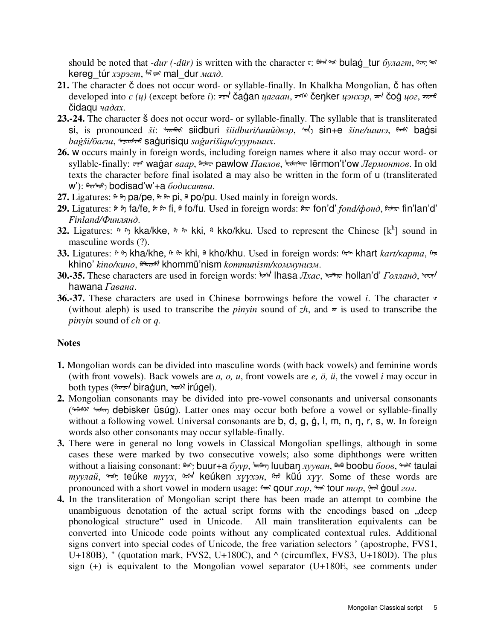should be noted that *-dur (-dür)* is written with the character  $\pi$ :  $\frac{1}{2}$   $\pi$   $\frac{1}{2}$   $\pi$  **bulag** tur *булагт*,  $\pi$  $\pi$ kereg\_túr *хэрэгт*,  $\dot{w}$  ब $\dot{w}$  mal\_dur *малд*.

- **21.** The character č does not occur word- or syllable-finally. In Khalkha Mongolian, č has often developed into *c (ц)* (except before *i*): <del><u>ᠷ</u>ᠬᠠᠠ</del> čaġan *цагаан*, ᠴᠠᠩᠷ čeŋker *цэнхэр*, ᠴᠠᠠ čoġ *цог*, ᠴᡳᢑᠠᠠᠤ čidaqu *чадах*.
- **23.-24.** The character š does not occur word- or syllable-finally. The syllable that is transliterated si, is pronounced *ši*: <u>ᠰᠷᠣᠲᠷ</u> siidburi *šiidburi/шийдвэр*, ᠰ/ sin+e *šine/шинэ*, ᠲᠠᠰ baġsi *baġši/багш*, ᠰᠠᠭᠤᠷᠢᠰᠢᠬᠤ saġurisiqu *saġurišiqu/суурьших*.
- **26.** w occurs mainly in foreign words, including foreign names where it also may occur word- or syllable-finally: ᠸᠠᠭᠠᠷ waġar *ваар*, Âᠸᠯᠣᠸ pawlow *Павлов*, ᠯᠧᠷᠮᠣᠨᠲᠣᠸ lērmon't'ow *Лермонтов*. In old texts the character before final isolated a may also be written in the form of u (transliterated w'): Äᠳᠢᠰᠠᠳᠸ ᠠ bodisad'w'+a *бодисатва*.
- 27. Ligatures:  $\theta \rightarrow p$  pa/pe,  $\theta \rightarrow p$ ,  $\theta$  po/pu. Used mainly in foreign words.
- **29.** Ligatures:  $\theta$   $\theta$ <sub>1</sub> fa/fe,  $\theta$   $\theta$ <sub>1</sub> ii,  $\theta$  fo/fu. Used in foreign words:  $\theta$ <sub>*r*</sub> $\theta$ </sub> fon'd' *fond/* $\phi$ *οнд*,  $\theta$ <sub>*r* $\theta$ r $\theta$ </sub> fin'lan'd' *Finland/Финлянд*.
- **32.** Ligatures:  $\theta$   $\eta$  kka/kke,  $\theta$   $\theta$  kki,  $\theta$  kko/kku. Used to represent the Chinese [k<sup>h</sup>] sound in masculine words (?).
- **33.** Ligatures: ��, kha/khe, ��, khi, ��, kho/khu. Used in foreign words: ��, khart *kart/kapma*, ��, khino' *kino/кино*, רᠦᠨᠢᠰᠮ khommü'nism *kommunism/коммунизм*.
- **30.-35.** These characters are used in foreign words:  $\psi$  lhasa *Лхас*,  $\psi$  hollan'd' *Голланд*,  $\psi$ hawana *Гавана*.
- **36.-37.** These characters are used in Chinese borrowings before the vowel *i*. The character  $\triangledown$ (without aleph) is used to transcribe the *pinyin* sound of  $zh$ , and  $\pi$  is used to transcribe the *pinyin* sound of *ch* or *q.*

## **Notes**

- **1.** Mongolian words can be divided into masculine words (with back vowels) and feminine words (with front vowels). Back vowels are *a, o, u*, front vowels are *e, ö, ü*, the vowel *i* may occur in both types (ᠠᠷᠠᠭᠠᠠᠠᠠᠠᠠᠷᠠᠨ biraġun, ᠢᠷᠣᠰᠯ irúgel).
- **2.** Mongolian consonants may be divided into pre-vowel consonants and universal consonants (MAKAR to the property debisker üsúg). Latter ones may occur both before a vowel or syllable-finally without a following vowel. Universal consonants are b, d, g, g, l, m, n, n, r, s, w. In foreign words also other consonants may occur syllable-finally.
- **3.** There were in general no long vowels in Classical Mongolian spellings, although in some cases these were marked by two consecutive vowels; also some diphthongs were written without a liaising consonant: هشم buur+a *буур*, <del>۱٬۰۰۰٬۰۰۰٬</del> luubaŋ *лууван*, هشمه boobu *боов*, ۱٬۰۰۰٬ taulai *туулай*, <del>∿</del>, teúke *түүх*, �� keúken *хүүхэн*, �� küú *хүү*. Some of these words are pronounced with a short vowel in modern usage:  $\theta \in \mathcal{A}$  gour *xop*,  $\theta \in \mathcal{A}$  four *mop*,  $\theta \in \mathcal{A}$  *son*.
- **4.** In the transliteration of Mongolian script there has been made an attempt to combine the unambiguous denotation of the actual script forms with the encodings based on "deep phonological structure" used in Unicode. All main transliteration equivalents can be converted into Unicode code points without any complicated contextual rules. Additional signs convert into special codes of Unicode, the free variation selectors ' (apostrophe, FVS1, U+180B), " (quotation mark, FVS2, U+180C), and ^ (circumflex, FVS3, U+180D). The plus sign (+) is equivalent to the Mongolian vowel separator (U+180E, see comments under